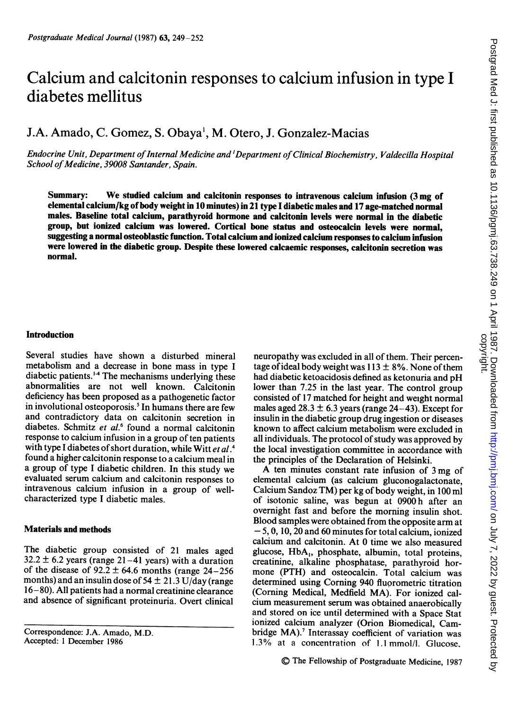# Calcium and calcitonin responses to calcium infusion in type <sup>I</sup> diabetes mellitus

## J.A. Amado, C. Gomez, S. Obaya<sup>1</sup>, M. Otero, J. Gonzalez-Macias

Endocrine Unit, Department ofInternal Medicine and 'Department ofClinical Biochemistry, Valdecilla Hospital School of Medicine, 39008 Santander, Spain.

Summary: We studied calcium and calcitonin responses to intravenous calcium infusion (3 mg of elemental calcium/kg ofbody weight in 10 minutes) in 21 type <sup>I</sup> diabetic males and 17 age-matched normal males. Baseline total calcium, parathyroid hormone and calcitonin levels were normal in the diabetic group, but ionized calcium was lowered. Cortical bone status and osteocalcin levels were normal, suggesting a normal osteoblastic function. Total calcium and ionized calcium responses to calcium infusion were lowered in the diabetic group. Despite these lowered calcaemic responses, calcitonin secretion was normal.

#### Introduction

Several studies have shown a disturbed mineral metabolism and a decrease in bone mass in type <sup>I</sup> diabetic patients.'4 The mechanisms underlying these abnormalities are not well known. Calcitonin deficiency has been proposed as a pathogenetic factor in involutional osteoporosis.<sup>5</sup> In humans there are few and contradictory data on calcitonin secretion in diabetes. Schmitz et al.<sup>6</sup> found a normal calcitonin response to calcium infusion in a group of ten patients with type I diabetes of short duration, while Witt et al.<sup>4</sup> found a higher calcitonin response to a calcium meal in a group of type <sup>I</sup> diabetic children. In this study we evaluated serum calcium and calcitonin responses to intravenous calcium infusion in a group of wellcharacterized type <sup>I</sup> diabetic males.

### Materials and methods

The diabetic group consisted of <sup>21</sup> males aged  $32.2 \pm 6.2$  years (range 21-41 years) with a duration of the disease of  $92.2 \pm 64.6$  months (range 24-256) months) and an insulin dose of 54  $\pm$  21.3 U/day (range <sup>16</sup> - 80). All patients had <sup>a</sup> normal creatinine clearance and absence of significant proteinuria. Overt clinical neuropathy was excluded in all of them. Their percentage of ideal body weight was  $113 \pm 8\%$ . None of them had diabetic ketoacidosis defined as ketonuria and pH lower than 7.25 in the last year. The control group consisted of 17 matched for height and weight normal males aged 28.3  $\pm$  6.3 years (range 24–43). Except for insulin in the diabetic group drug ingestion or diseases known to affect calcium metabolism were excluded in all individuals. The protocol of study was approved by the local investigation committee in accordance with the principles of the Declaration of Helsinki.

A ten minutes constant rate infusion of <sup>3</sup> mg of elemental calcium (as calcium gluconogalactonate, Calcium Sandoz TM) per kg of body weight, in <sup>100</sup> ml of isotonic saline, was begun at 0900 h after an overnight fast and before the morning insulin shot. Blood samples were obtained from the opposite arm at -5, 0, 10, 20 and 60 minutes for total calcium, ionized calcium and calcitonin. At 0 time we also measured glucose, HbA<sub>1</sub>, phosphate, albumin, total proteins, creatinine, alkaline phosphatase, parathyroid hormone (PTH) and osteocalcin. Total calcium was determined using Corning 940 fluorometric titration (Corning Medical, Medfield MA). For ionized calcium measurement serum was obtained anaerobically and stored on ice until determined with a Space Stat ionized calcium analyzer (Orion Biomedical, Cambridge MA).<sup>7</sup> Interassay coefficient of variation was 1.3% at <sup>a</sup> concentration of 1.1 mmol/l. Glucose,

Correspondence: J.A. Amado, M.D. Accepted: <sup>1</sup> December 1986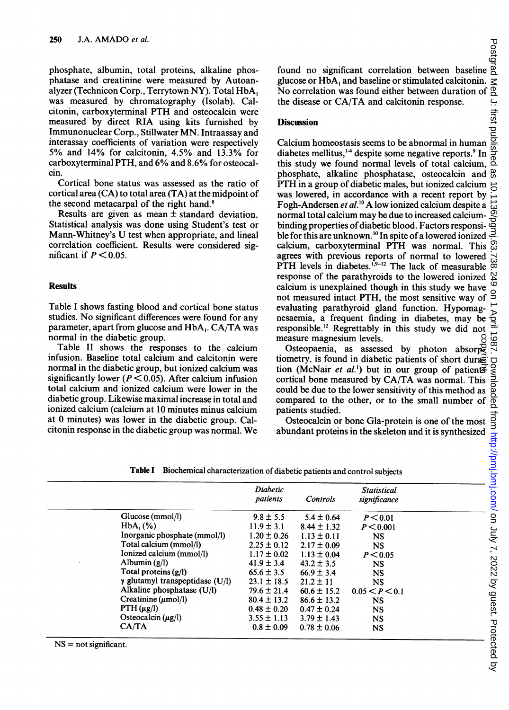phosphate, albumin, total proteins, alkaline phosphatase and creatinine were measured by Autoanalyzer (Technicon Corp., Terrytown NY). Total HbA, was measured by chromatography (Isolab). Calcitonin, carboxyterminal PTH and osteocalcin were measured by direct RIA using kits furnished by Immunonuclear Corp., Stillwater MN. Intraassay and interassay coefficients of variation were respectively 5% and 14% for calcitonin, 4.5% and 13.3% for carboxyterminal PTH, and 6% and 8.6% for osteocalcin.

Cortical bone status was assessed as the ratio of cortical area (CA) to total area (TA) at the midpoint of the second metacarpal of the right hand.<sup>8</sup>

Results are given as mean ± standard deviation. Statistical analysis was done using Student's test or Mann-Whitney's U test when appropriate, and lineal correlation coefficient. Results were considered significant if  $P < 0.05$ .

## **Results**

Table <sup>I</sup> shows fasting blood and cortical bone status studies. No significant differences were found for any parameter, apart from glucose and HbA,. CA/TA was normal in the diabetic group.

Table II shows the responses to the calcium infusion. Baseline total calcium and calcitonin were normal in the diabetic group, but ionized calcium was significantly lower ( $P < 0.05$ ). After calcium infusion total calcium and ionized calcium were lower in the diabetic group. Likewise maximal increase in total and ionized calcium (calcium at 10 minutes minus calcium at 0 minutes) was lower in the diabetic group. Calcitonin response in the diabetic group was normal. We found no significant correlation between baseline glucose or HbA<sub>1</sub> and baseline or stimulated calcitonin. No correlation was found either between duration of the disease or CA/TA and calcitonin response.<br> **Discussion**  $\$ glucose or HbA, and baseline or stimulated calcitonin. No correlation was found either between duration of the disease or CA/TA and calcitonin response.

## **Discussion**

Calcium homeostasis seems to be abnormal in human diabetes mellitus, $^{14}$  despite some negative reports.<sup>9</sup> In this study we found normal levels of total calcium, phosphate, alkaline phosphatase, osteocalcin and PTH in <sup>a</sup> group of diabetic males, but ionized calcium PTH in a group of diabetic males, but ionized calcium  $\frac{\text{...}}{\text{...}}$  was lowered, in accordance with a recent report by  $\frac{\text{...}}{\text{...}}$  Fogh-Andersen *et al*.<sup>10</sup> A low ionized calcium despite a  $\frac{\text{...}}{\text{...}}$ Fogh-Andersen et al.'0 A low ionized calcium despite <sup>a</sup> normal total calcium may be due to increased calciumbinding properties of diabetic blood. Factors responsible for this are unknown.<sup>10</sup> In spite of a lowered ionized calcium, carboxyterminal PTH was normal. This agrees with previous reports of normal to lowered PTH levels in diabetes. $^{1,9-12}$  The lack of measurable response of the parathyroids to the lowered ionized calcium is unexplained though in this study we have not measured intact PTH, the most sensitive way of evaluating parathyroid gland function. Hypomagnesaemia, a frequent finding in diabetes, may be responsible.'2 Regrettably in this study we did not measure magnesium levels.

Osteopaenia, as assessed by photon absorptiometry, is found in diabetic patients of short duration (McNair *et al.*<sup>1</sup>) but in our group of patients cortical bone measured by CA/TA was normal. This could be due to the lower sensitivity of this method as compared to the other, or to the small number of patients studied. copyright.

Table <sup>I</sup> Biochemical characterization of diabetic patients and control subjects

| Osteocalcin or bone Gla-protein is one of the most<br>bundant proteins in the skeleton and it is synthesized<br>abetic patients and control subjects<br>abetic patients and control subjects<br>controls significance<br>5. 5.4 + 0.64 P < 0.<br>Table I<br>Biochemical characterization of diabetic patients and control subjects |                                        |                      |                 |                |  |  |  |  |  |  |
|------------------------------------------------------------------------------------------------------------------------------------------------------------------------------------------------------------------------------------------------------------------------------------------------------------------------------------|----------------------------------------|----------------------|-----------------|----------------|--|--|--|--|--|--|
|                                                                                                                                                                                                                                                                                                                                    |                                        | Diabetic<br>patients |                 |                |  |  |  |  |  |  |
|                                                                                                                                                                                                                                                                                                                                    | Glucose (mmol/l)                       | $9.8 \pm 5.5$        | $5.4 \pm 0.64$  | P < 0.01       |  |  |  |  |  |  |
|                                                                                                                                                                                                                                                                                                                                    | $HbA_1(\%)$                            | $11.9 \pm 3.1$       | $8.44 \pm 1.32$ | P < 0.001      |  |  |  |  |  |  |
|                                                                                                                                                                                                                                                                                                                                    | Inorganic phosphate (mmol/l)           | $1.20 \pm 0.26$      | $1.13 \pm 0.11$ | <b>NS</b>      |  |  |  |  |  |  |
|                                                                                                                                                                                                                                                                                                                                    | Total calcium (mmol/l)                 | $2.25 \pm 0.12$      | $2.17 \pm 0.09$ | <b>NS</b>      |  |  |  |  |  |  |
|                                                                                                                                                                                                                                                                                                                                    | Ionized calcium (mmol/l)               | $1.17 \pm 0.02$      | $1.13 \pm 0.04$ | P < 0.05       |  |  |  |  |  |  |
|                                                                                                                                                                                                                                                                                                                                    | Albumin $(g/l)$                        | $41.9 \pm 3.4$       | $43.2 \pm 3.5$  | <b>NS</b>      |  |  |  |  |  |  |
|                                                                                                                                                                                                                                                                                                                                    | Total proteins $(g/l)$                 | $65.6 \pm 3.5$       | $66.9 \pm 3.4$  | <b>NS</b>      |  |  |  |  |  |  |
|                                                                                                                                                                                                                                                                                                                                    | $\gamma$ glutamyl transpeptidase (U/l) | $23.1 \pm 18.5$      | $21.2 \pm 11$   | <b>NS</b>      |  |  |  |  |  |  |
|                                                                                                                                                                                                                                                                                                                                    | Alkaline phosphatase $(U/I)$           | $79.6 \pm 21.4$      | $60.6 \pm 15.2$ | 0.05 < P < 0.1 |  |  |  |  |  |  |
|                                                                                                                                                                                                                                                                                                                                    | Creatinine $(\mu \text{mol/l})$        | $80.4 \pm 13.2$      | $86.6 \pm 13.2$ | <b>NS</b>      |  |  |  |  |  |  |
|                                                                                                                                                                                                                                                                                                                                    | $PTH (\mu g/l)$                        | $0.48 \pm 0.20$      | $0.47 \pm 0.24$ | <b>NS</b>      |  |  |  |  |  |  |
|                                                                                                                                                                                                                                                                                                                                    | Osteocalcin $(\mu g/l)$                | $3.55 \pm 1.13$      | $3.79 \pm 1.43$ | <b>NS</b>      |  |  |  |  |  |  |
|                                                                                                                                                                                                                                                                                                                                    | CA/TA                                  | $0.8 \pm 0.09$       | $0.78 \pm 0.06$ | <b>NS</b>      |  |  |  |  |  |  |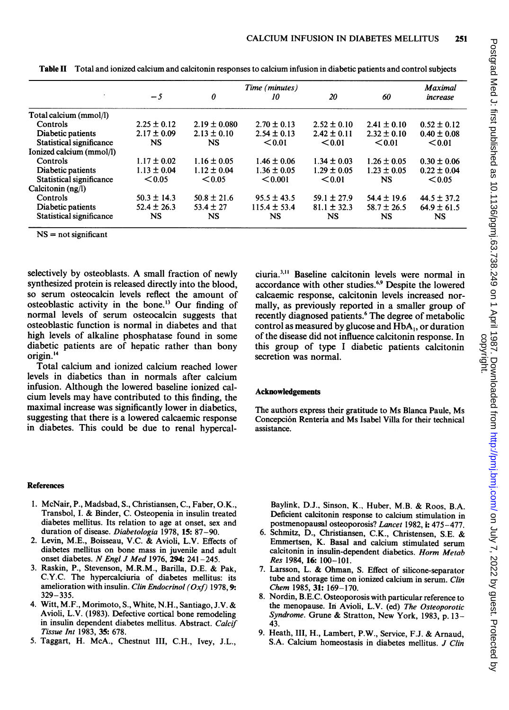|                          | Time (minutes)  |                  |                  |                 |                 |                 |  |
|--------------------------|-----------------|------------------|------------------|-----------------|-----------------|-----------------|--|
|                          | $-5$            | 0                | 10               | 20              | 60              | increase        |  |
| Total calcium (mmol/l)   |                 |                  |                  |                 |                 |                 |  |
| Controls                 | $2.25 \pm 0.12$ | $2.19 \pm 0.080$ | $2.70 \pm 0.13$  | $2.52 \pm 0.10$ | $2.41 \pm 0.10$ | $0.52 \pm 0.12$ |  |
| Diabetic patients        | $2.17 \pm 0.09$ | $2.13 \pm 0.10$  | $2.54 \pm 0.13$  | $2.42 \pm 0.11$ | $2.32 \pm 0.10$ | $0.40 \pm 0.08$ |  |
| Statistical significance | <b>NS</b>       | NS               | < 0.01           | $0.01$          | < 0.01          | < 0.01          |  |
| Ionized calcium (mmol/l) |                 |                  |                  |                 |                 |                 |  |
| Controls                 | $1.17 \pm 0.02$ | $1.16 \pm 0.05$  | $1.46 \pm 0.06$  | $1.34 \pm 0.03$ | $1.26 \pm 0.05$ | $0.30 \pm 0.06$ |  |
| Diabetic patients        | $1.13 \pm 0.04$ | $1.12 \pm 0.04$  | $1.36 \pm 0.05$  | $1.29 \pm 0.05$ | $1.23 \pm 0.05$ | $0.22 \pm 0.04$ |  |
| Statistical significance | < 0.05          | < 0.05           | < 0.001          | $0.01$          | NS              | < 0.05          |  |
| Calcitonin (ng/l)        |                 |                  |                  |                 |                 |                 |  |
| Controls                 | $50.3 \pm 14.3$ | $50.8 \pm 21.6$  | $95.5 \pm 43.5$  | $59.1 \pm 27.9$ | $54.4 \pm 19.6$ | $44.5 \pm 37.2$ |  |
| Diabetic patients        | $52.4 \pm 26.3$ | $53.4 \pm 27$    | $115.4 \pm 53.4$ | $81.1 \pm 32.3$ | $58.7 \pm 26.5$ | $64.9 \pm 61.5$ |  |
| Statistical significance | <b>NS</b>       | NS               | NS               | NS              | <b>NS</b>       | NS              |  |

Table II Total and ionized calcium and calcitonin responses to calcium infusion in diabetic patients and control subjects

 $NS = not$  significant

selectively by osteoblasts. A small fraction of newly synthesized protein is released directly into the blood, so serum osteocalcin levels reflect the amount of osteoblastic activity in the bone.'3 Our finding of normal levels of serum osteocalcin suggests that osteoblastic function is normal in diabetes and that high levels of alkaline phosphatase found in some diabetic patients are of hepatic rather than bony origin.<sup>14</sup>

Total calcium and ionized calcium reached lower levels in diabetics than in normals after calcium infusion. Although the lowered baseline ionized calcium levels may have contributed to this finding, the maximal increase was significantly lower in diabetics, suggesting that there is a lowered calcaemic response in diabetes. This could be due to renal hypercal-

ciuria.3" Baseline calcitonin levels were normal in accordance with other studies.<sup>6,9</sup> Despite the lowered calcaemic response, calcitonin levels increased normally, as previously reported in a smaller group of recently diagnosed patients.<sup>6</sup> The degree of metabolic control as measured by glucose and HbA, or duration of the disease did not influence calcitonin response. In this group of type <sup>I</sup> diabetic patients calcitonin secretion was normal.

#### Acknowledgements

The authors express their gratitude to Ms Blanca Paule, Ms Concepci6n Renteria and Ms Isabel Villa for their technical assistance.

#### References

- 1. McNair, P., Madsbad, S., Christiansen, C., Faber, O.K., Transbol, I. & Binder, C. Osteopenia in insulin treated diabetes mellitus. Its relation to age at onset, sex and duration of disease. Diabetologia 1978, 15: 87-90.
- 2. Levin, M.E., Boisseau, V.C. & Avioli, L.V. Effects of diabetes mellitus on bone mass in juvenile and adult onset diabetes. N Engl J Med 1976, 294: 241-245.
- 3. Raskin, P., Stevenson, M.R.M., Barilla, D.E. & Pak, C.Y.C. The hypercalciuria of diabetes mellitus: its amelioration with insulin. Clin Endocrinol (Oxf) 1978, 9: 329-335.
- 4. Witt, M.F., Morimoto, S., White, N.H., Santiago, J.V. & Avioli, L.V. (1983). Defective cortical bone remodeling in insulin dependent diabetes mellitus. Abstract. Calcif Tissue Int 1983, 35: 678.
- 5. Taggart, H. McA., Chestnut III, C.H., Ivey, J.L.,

Baylink, D.J., Sinson, K., Huber, M.B. & Roos, B.A. Deficient calcitonin response to calcium stimulation in postmenopausal osteoporosis? Lancet 1982, i: 475-477.

- 6. Schmitz, D., Christiansen, C.K., Christensen, S.E. & Emmertsen, K. Basal and calcium stimulated serum calcitonin in insulin-dependent diabetics. Horm Metab Res 1984, 16: 100-101.
- 7. Larsson, L. & Ohman, S. Effect of silicone-separator tube and storage time on ionized calcium in serum. Clin Chem 1985, 31: 169-170.
- 8. Nordin, B.E.C. Osteoporosis with particular reference to the menopause. In Avioli, L.V. (ed) The Osteoporotic Syndrome. Grune & Stratton, New York, 1983, p. 13-43.
- 9. Heath, III, H., Lambert, P.W., Service, F.J. & Arnaud, S.A. Calcium homeostasis in diabetes mellitus. J Clin